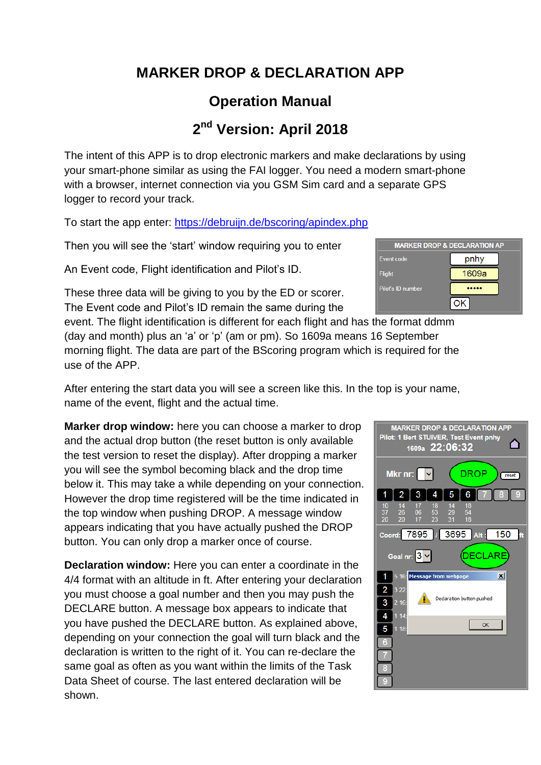### **MARKER DROP & DECLARATION APP**

## **Operation Manual**

# **2 nd Version: April 2018**

The intent of this APP is to drop electronic markers and make declarations by using your smart-phone similar as using the FAI logger. You need a modern smart-phone with a browser, internet connection via you GSM Sim card and a separate GPS logger to record your track.

To start the app enter: <https://debruijn.de/bscoring/apindex.php>

Then you will see the 'start' window requiring you to enter

An Event code, Flight identification and Pilot's ID.

These three data will be giving to you by the ED or scorer. The Event code and Pilot's ID remain the same during the

event. The flight identification is different for each flight and has the  $f$ (day and month) plus an 'a' or 'p' (am or pm). So 1609a means 16 September morning flight. The data are part of the BScoring program which is required for the use of the APP.

After entering the start data you will see a screen like this. In the top is your name, name of the event, flight and the actual time.

**Marker drop window:** here you can choose a marker to drop and the actual drop button (the reset button is only available the test version to reset the display). After dropping a marker you will see the symbol becoming black and the drop time below it. This may take a while depending on your connection. However the drop time registered will be the time indicated in the top window when pushing DROP. A message window appears indicating that you have actually pushed the DROP button. You can only drop a marker once of course.

**Declaration window:** Here you can enter a coordinate in the 4/4 format with an altitude in ft. After entering your declaration you must choose a goal number and then you may push the DECLARE button. A message box appears to indicate that you have pushed the DECLARE button. As explained above, depending on your connection the goal will turn black and the declaration is written to the right of it. You can re-declare the same goal as often as you want within the limits of the Task Data Sheet of course. The last entered declaration will be shown.

| <b>Flight</b>     | 1609a |  |
|-------------------|-------|--|
| Pilot's ID number |       |  |
|                   |       |  |
| ne format ddmm    |       |  |
|                   |       |  |

**MARKER DROP & DECLARATION AP** 

pnhy

Event code